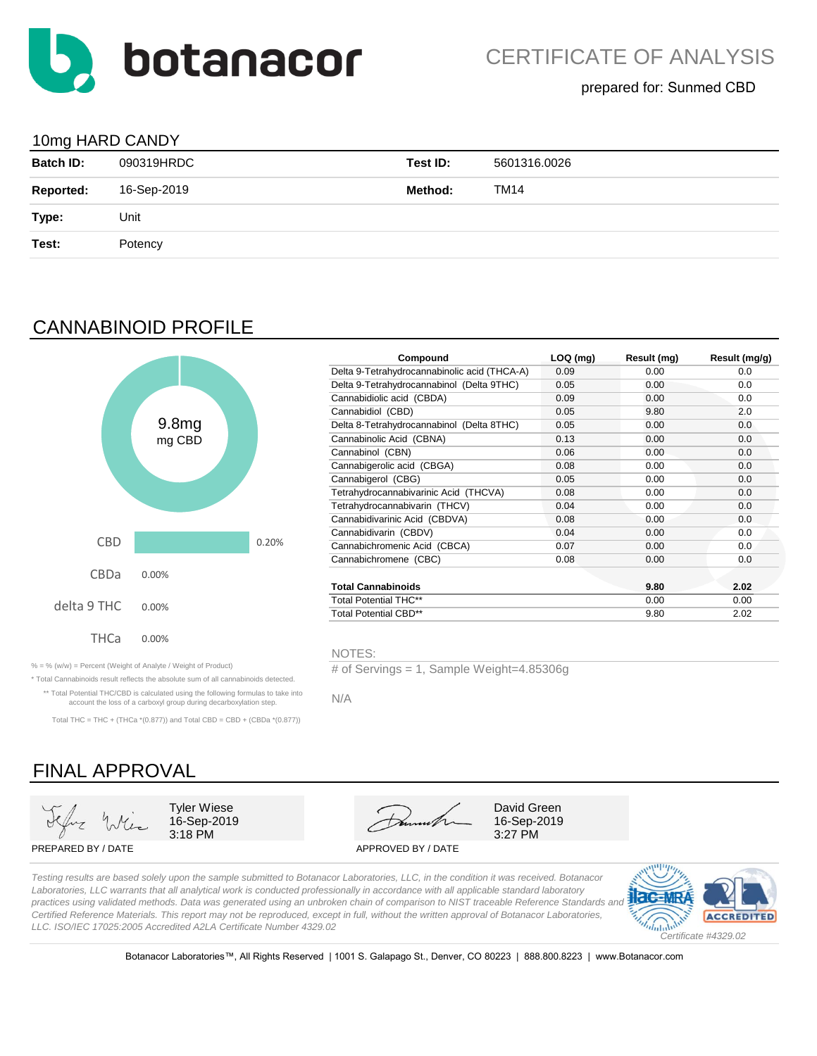

### 10mg HARD CANDY

| ັ                |             |          |              |
|------------------|-------------|----------|--------------|
| <b>Batch ID:</b> | 090319HRDC  | Test ID: | 5601316.0026 |
| <b>Reported:</b> | 16-Sep-2019 | Method:  | <b>TM14</b>  |
| Type:            | Unit        |          |              |
| Test:            | Potency     |          |              |
|                  |             |          |              |

## CANNABINOID PROFILE



\* Total Cannabinoids result reflects the absolute sum of all cannabinoids detected. \*\* Total Potential THC/CBD is calculated using the following formulas to take into account the loss of a carboxyl group during decarboxylation step. Total THC = THC + (THCa  $*(0.877)$ ) and Total CBD = CBD + (CBDa  $*(0.877)$ )

|        |       | Compound                                     | $LOQ$ (mg) | Result (mg) | Result (mg/g) |
|--------|-------|----------------------------------------------|------------|-------------|---------------|
|        |       | Delta 9-Tetrahydrocannabinolic acid (THCA-A) | 0.09       | 0.00        | 0.0           |
|        |       | Delta 9-Tetrahydrocannabinol (Delta 9THC)    | 0.05       | 0.00        | 0.0           |
|        |       | Cannabidiolic acid (CBDA)                    | 0.09       | 0.00        | 0.0           |
|        |       | Cannabidiol (CBD)                            | 0.05       | 9.80        | 2.0           |
| 9.8mg  |       | Delta 8-Tetrahydrocannabinol (Delta 8THC)    | 0.05       | 0.00        | 0.0           |
| mg CBD |       | Cannabinolic Acid (CBNA)                     | 0.13       | 0.00        | 0.0           |
|        |       | Cannabinol (CBN)                             | 0.06       | 0.00        | 0.0           |
|        |       | Cannabigerolic acid (CBGA)                   | 0.08       | 0.00        | 0.0           |
|        |       | Cannabigerol (CBG)                           | 0.05       | 0.00        | 0.0           |
|        |       | Tetrahydrocannabivarinic Acid (THCVA)        | 0.08       | 0.00        | 0.0           |
|        |       | Tetrahydrocannabivarin (THCV)                | 0.04       | 0.00        | 0.0           |
|        |       | Cannabidivarinic Acid (CBDVA)                | 0.08       | 0.00        | 0.0           |
|        |       | Cannabidivarin (CBDV)                        | 0.04       | 0.00        | 0.0           |
|        | 0.20% | Cannabichromenic Acid (CBCA)                 | 0.07       | 0.00        | 0.0           |
|        |       | Cannabichromene (CBC)                        | 0.08       | 0.00        | 0.0           |
| 0%     |       |                                              |            |             |               |
|        |       | <b>Total Cannabinoids</b>                    |            | 9.80        | 2.02          |
|        |       | <b>Total Potential THC**</b>                 |            | 0.00        | 0.00          |
| 0%     |       | <b>Total Potential CBD**</b>                 |            | 9.80        | 2.02          |
|        |       |                                              |            |             |               |

NOTES:

% = % (w/w) = Percent (Weight of Analyte / Weight of Product) # of Servings = 1, Sample Weight=4.85306g

N/A



*Laboratories, LLC warrants that all analytical work is conducted professionally in accordance with all applicable standard laboratory practices using validated methods. Data was generated using an unbroken chain of comparison to NIST traceable Reference Standards and Certified Reference Materials. This report may not be reproduced, except in full, without the written approval of Botanacor Laboratories, LLC. ISO/IEC 17025:2005 Accredited A2LA Certificate Number 4329.02*



Botanacor Laboratories™, All Rights Reserved | 1001 S. Galapago St., Denver, CO 80223 | 888.800.8223 | www.Botanacor.com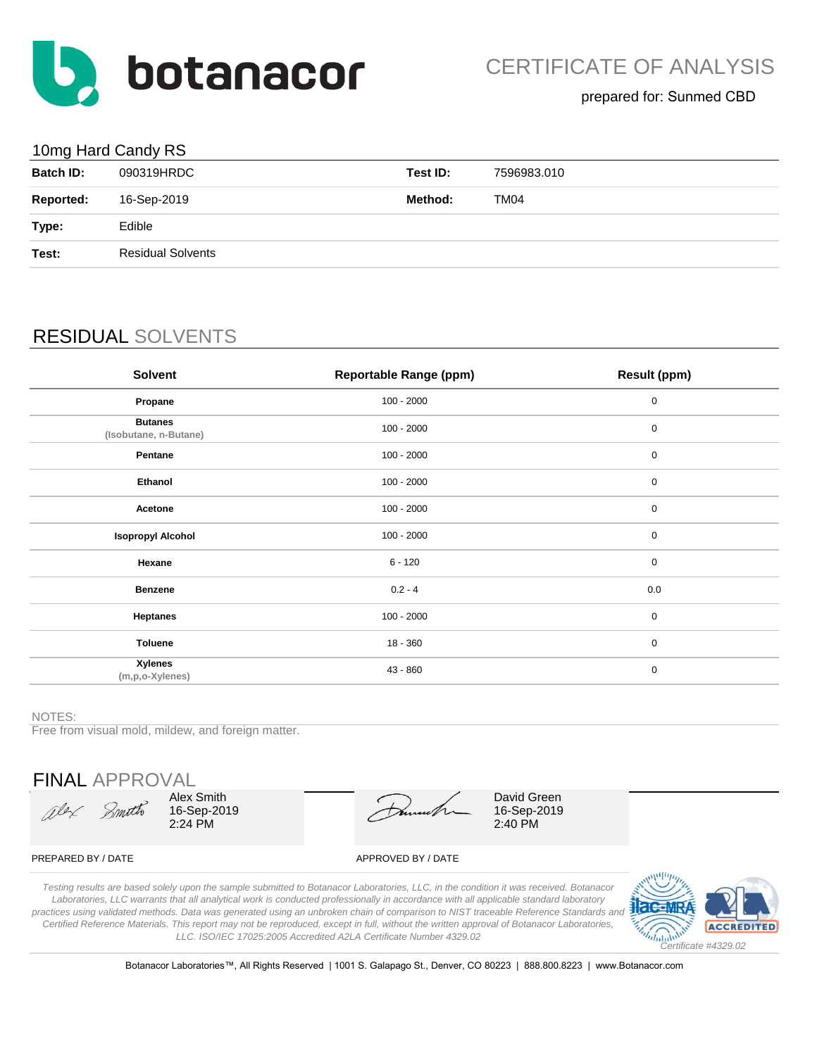

## 10mg Hard Candy RS

| ີ                |                          |          |             |
|------------------|--------------------------|----------|-------------|
| <b>Batch ID:</b> | 090319HRDC               | Test ID: | 7596983.010 |
| <b>Reported:</b> | 16-Sep-2019              | Method:  | <b>TM04</b> |
| Type:            | Edible                   |          |             |
| Test:            | <b>Residual Solvents</b> |          |             |
|                  |                          |          |             |

# RESIDUAL SOLVENTS

| <b>Solvent</b>                          | <b>Reportable Range (ppm)</b> | Result (ppm) |
|-----------------------------------------|-------------------------------|--------------|
| Propane                                 | $100 - 2000$                  | $\pmb{0}$    |
| <b>Butanes</b><br>(Isobutane, n-Butane) | $100 - 2000$                  | 0            |
| Pentane                                 | $100 - 2000$                  | $\pmb{0}$    |
| Ethanol                                 | $100 - 2000$                  | $\mathbf 0$  |
| Acetone                                 | $100 - 2000$                  | $\pmb{0}$    |
| <b>Isopropyl Alcohol</b>                | $100 - 2000$                  | $\pmb{0}$    |
| Hexane                                  | $6 - 120$                     | $\mathbf 0$  |
| <b>Benzene</b>                          | $0.2 - 4$                     | 0.0          |
| <b>Heptanes</b>                         | $100 - 2000$                  | $\mathbf 0$  |
| <b>Toluene</b>                          | $18 - 360$                    | $\mathbf 0$  |
| <b>Xylenes</b><br>(m,p,o-Xylenes)       | 43 - 860                      | $\pmb{0}$    |

#### NOTES:

Free from visual mold, mildew, and foreign matter.

FINAL APPROVAL

alex Smoth

Alex Smith 16-Sep-2019 2:24 PM

David Green 16-Sep-2019 2:40 PM

#### PREPARED BY / DATE APPROVED BY / DATE

*Testing results are based solely upon the sample submitted to Botanacor Laboratories, LLC, in the condition it was received. Botanacor Laboratories, LLC warrants that all analytical work is conducted professionally in accordance with all applicable standard laboratory practices using validated methods. Data was generated using an unbroken chain of comparison to NIST traceable Reference Standards and Certified Reference Materials. This report may not be reproduced, except in full, without the written approval of Botanacor Laboratories, LLC. ISO/IEC 17025:2005 Accredited A2LA Certificate Number 4329.02*



Botanacor Laboratories™, All Rights Reserved | 1001 S. Galapago St., Denver, CO 80223 | 888.800.8223 | www.Botanacor.com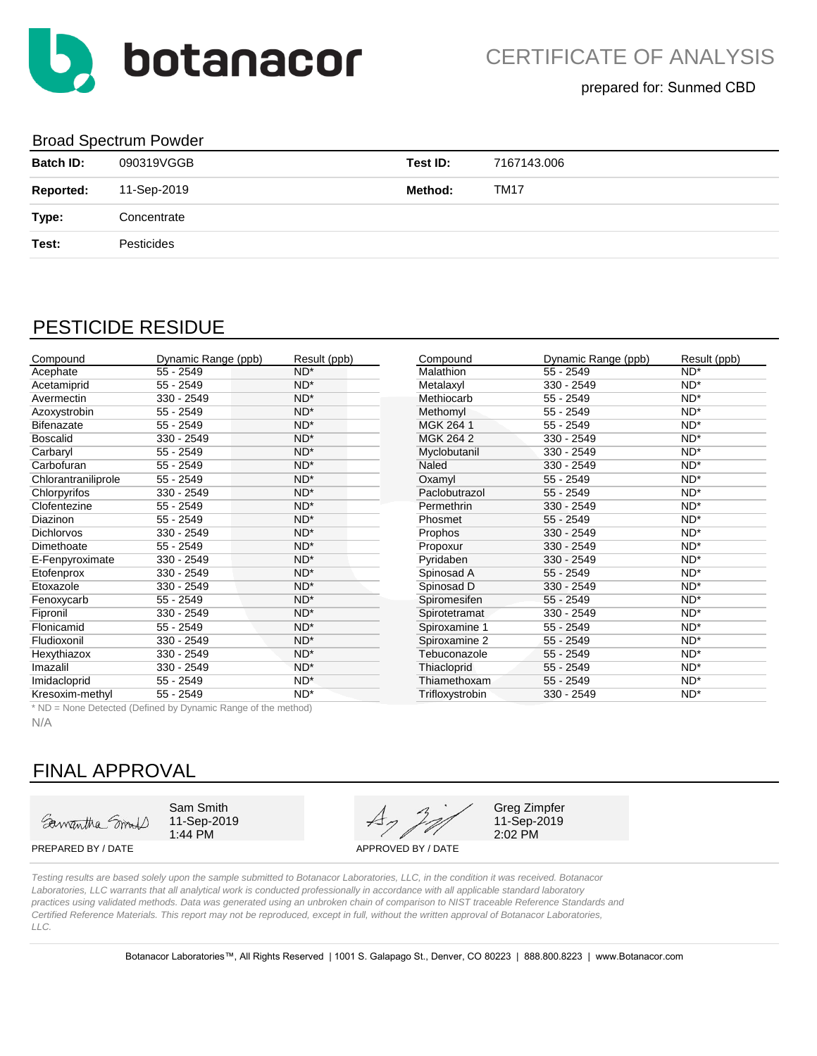

### Broad Spectrum Powder

| <b>Batch ID:</b> | 090319VGGB  | Test ID: | 7167143.006 |
|------------------|-------------|----------|-------------|
| <b>Reported:</b> | 11-Sep-2019 | Method:  | <b>TM17</b> |
| Type:            | Concentrate |          |             |
| Test:            | Pesticides  |          |             |
|                  |             |          |             |

## PESTICIDE RESIDUE

| Compound            | Dynamic Range (ppb) | Result (ppb)    | Compound           | Dynamic Range (ppb) | Result (ppb)    |
|---------------------|---------------------|-----------------|--------------------|---------------------|-----------------|
| Acephate            | $55 - 2549$         | $ND^*$          | Malathion          | $55 - 2549$         | $ND^*$          |
| Acetamiprid         | $55 - 2549$         | ND <sup>*</sup> | Metalaxyl          | 330 - 2549          | $ND^*$          |
| Avermectin          | 330 - 2549          | $ND^*$          | Methiocarb         | $55 - 2549$         | $ND^*$          |
| Azoxystrobin        | $55 - 2549$         | $ND^*$          | Methomyl           | $55 - 2549$         | $ND^*$          |
| <b>Bifenazate</b>   | $55 - 2549$         | $ND^*$          | MGK 264 1          | $55 - 2549$         | $ND^*$          |
| <b>Boscalid</b>     | 330 - 2549          | ND <sup>*</sup> | MGK 264 2          | 330 - 2549          | ND <sup>*</sup> |
| Carbaryl            | $55 - 2549$         | $ND^*$          | Myclobutanil       | 330 - 2549          | $ND^*$          |
| Carbofuran          | $55 - 2549$         | ND <sup>*</sup> | Naled              | 330 - 2549          | $ND^*$          |
| Chlorantraniliprole | 55 - 2549           | ND <sup>*</sup> | Oxamyl             | $55 - 2549$         | $ND^*$          |
| Chlorpyrifos        | 330 - 2549          | $ND^*$          | Paclobutrazol      | $55 - 2549$         | $ND^*$          |
| Clofentezine        | 55 - 2549           | $ND^*$          | Permethrin         | 330 - 2549          | $ND^*$          |
| <b>Diazinon</b>     | $55 - 2549$         | $ND^*$          | Phosmet            | $55 - 2549$         | $ND^*$          |
| <b>Dichlorvos</b>   | 330 - 2549          | ND <sup>*</sup> | Prophos            | 330 - 2549          | $ND^*$          |
| Dimethoate          | $55 - 2549$         | $ND^*$          | Propoxur           | 330 - 2549          | $ND^*$          |
| E-Fenpyroximate     | 330 - 2549          | $ND^*$          | Pyridaben          | 330 - 2549          | $ND^*$          |
| Etofenprox          | 330 - 2549          | ND <sup>*</sup> | Spinosad A         | $55 - 2549$         | $ND^*$          |
| Etoxazole           | 330 - 2549          | ND <sup>*</sup> | Spinosad D         | 330 - 2549          | $ND^*$          |
| Fenoxycarb          | $55 - 2549$         | $ND^*$          | Spiromesifen       | $55 - 2549$         | $ND^*$          |
| Fipronil            | 330 - 2549          | $ND^*$          | Spirotetramat      | 330 - 2549          | $ND^*$          |
| Flonicamid          | $55 - 2549$         | $ND^*$          | Spiroxamine 1      | 55 - 2549           | $ND^*$          |
| Fludioxonil         | 330 - 2549          | $ND^*$          | Spiroxamine 2      | 55 - 2549           | $ND^*$          |
| Hexythiazox         | 330 - 2549          | $ND^*$          | Tebuconazole       | $55 - 2549$         | $ND^*$          |
| Imazalil            | 330 - 2549          | ND <sup>*</sup> | <b>Thiacloprid</b> | $55 - 2549$         | $ND^*$          |
| Imidacloprid        | $55 - 2549$         | $ND^*$          | Thiamethoxam       | $55 - 2549$         | $ND^*$          |
| Kresoxim-methyl     | $55 - 2549$         | $ND^*$          | Trifloxystrobin    | 330 - 2549          | $ND^*$          |
|                     |                     |                 |                    |                     |                 |

| Compound         | Dynamic Range (ppb) | Result (ppb)    |
|------------------|---------------------|-----------------|
| <b>Malathion</b> | $55 - 2549$         | $ND^*$          |
| Metalaxyl        | 330 - 2549          | ND <sup>*</sup> |
| Methiocarb       | 55 - 2549           | ND <sup>*</sup> |
| Methomyl         | 55 - 2549           | $ND^*$          |
| MGK 264 1        | 55 - 2549           | ND*             |
| MGK 264 2        | 330 - 2549          | $ND^*$          |
| Myclobutanil     | 330 - 2549          | $ND^*$          |
| Naled            | 330 - 2549          | $ND^*$          |
| Oxamyl           | $55 - 2549$         | $ND^*$          |
| Paclobutrazol    | 55 - 2549           | $ND^*$          |
| Permethrin       | 330 - 2549          | $ND^*$          |
| Phosmet          | $55 - 2549$         | ND <sup>*</sup> |
| Prophos          | 330 - 2549          | $ND^*$          |
| Propoxur         | 330 - 2549          | $ND^*$          |
| Pyridaben        | 330 - 2549          | $ND^*$          |
| Spinosad A       | 55 - 2549           | $ND^*$          |
| Spinosad D       | 330 - 2549          | ND*             |
| Spiromesifen     | 55 - 2549           | ND*             |
| Spirotetramat    | 330 - 2549          | ND <sup>*</sup> |
| Spiroxamine 1    | 55 - 2549           | $ND^*$          |
| Spiroxamine 2    | 55 - 2549           | $ND^*$          |
| Tebuconazole     | 55 - 2549           | $ND^*$          |
| Thiacloprid      | 55 - 2549           | $ND^*$          |
| Thiamethoxam     | $55 - 2549$         | $ND^*$          |
| Triflowntrobin   | $220 - 2510$        | <b>NIN*</b>     |

\* ND = None Detected (Defined by Dynamic Range of the method)

N/A

# FINAL APPROVAL

Samantha Smith

 $1:44$  PM

Sam Smith Greg Zimpfer<br>11-Sep-2019  $A_7$   $2^{1/2}$  Greg Zimpfer<br>11-Sep-2019

11-Sep-2019<br>2:02 PM

PREPARED BY / DATE APPROVED BY / DATE

*Testing results are based solely upon the sample submitted to Botanacor Laboratories, LLC, in the condition it was received. Botanacor Laboratories, LLC warrants that all analytical work is conducted professionally in accordance with all applicable standard laboratory practices using validated methods. Data was generated using an unbroken chain of comparison to NIST traceable Reference Standards and Certified Reference Materials. This report may not be reproduced, except in full, without the written approval of Botanacor Laboratories, LLC.*